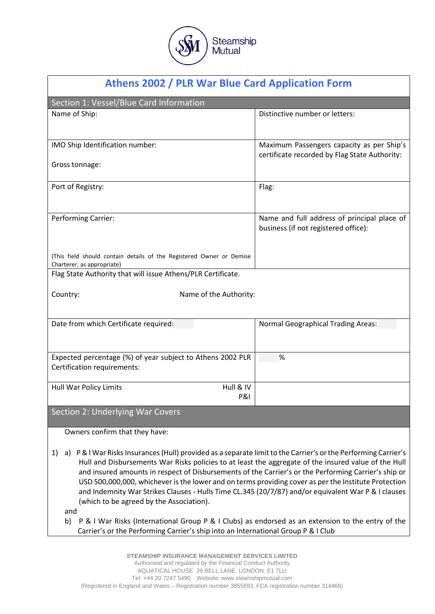Steamship **Mutual** 

| <b>Athens 2002 / PLR War Blue Card Application Form</b>                                                                                                                                                     |                                               |
|-------------------------------------------------------------------------------------------------------------------------------------------------------------------------------------------------------------|-----------------------------------------------|
| Section 1: Vessel/Blue Card Information                                                                                                                                                                     |                                               |
| Name of Ship:                                                                                                                                                                                               | Distinctive number or letters:                |
|                                                                                                                                                                                                             |                                               |
| IMO Ship Identification number:                                                                                                                                                                             | Maximum Passengers capacity as per Ship's     |
| Gross tonnage:                                                                                                                                                                                              | certificate recorded by Flag State Authority: |
|                                                                                                                                                                                                             |                                               |
| Port of Registry:                                                                                                                                                                                           | Flag:                                         |
|                                                                                                                                                                                                             |                                               |
| <b>Performing Carrier:</b>                                                                                                                                                                                  | Name and full address of principal place of   |
|                                                                                                                                                                                                             | business (if not registered office):          |
|                                                                                                                                                                                                             |                                               |
| (This field should contain details of the Registered Owner or Demise<br>Charterer, as appropriate)                                                                                                          |                                               |
| Flag State Authority that will issue Athens/PLR Certificate.                                                                                                                                                |                                               |
| Country:<br>Name of the Authority:                                                                                                                                                                          |                                               |
|                                                                                                                                                                                                             |                                               |
| Date from which Certificate required:                                                                                                                                                                       | <b>Normal Geographical Trading Areas:</b>     |
|                                                                                                                                                                                                             |                                               |
| Expected percentage (%) of year subject to Athens 2002 PLR                                                                                                                                                  | %                                             |
| Certification requirements:                                                                                                                                                                                 |                                               |
| Hull & IV<br>Hull War Policy Limits                                                                                                                                                                         |                                               |
| <b>P&amp;I</b>                                                                                                                                                                                              |                                               |
| Section 2: Underlying War Covers                                                                                                                                                                            |                                               |
| Owners confirm that they have:                                                                                                                                                                              |                                               |
| P & I War Risks Insurances (Hull) provided as a separate limit to the Carrier's or the Performing Carrier's<br>1)<br>a)                                                                                     |                                               |
| Hull and Disbursements War Risks policies to at least the aggregate of the insured value of the Hull                                                                                                        |                                               |
| and insured amounts in respect of Disbursements of the Carrier's or the Performing Carrier's ship or                                                                                                        |                                               |
| USD 500,000,000, whichever is the lower and on terms providing cover as per the Institute Protection<br>and Indemnity War Strikes Clauses - Hulls Time CL.345 (20/7/87) and/or equivalent War P & I clauses |                                               |
| (which to be agreed by the Association).                                                                                                                                                                    |                                               |

- and
- b) P & I War Risks (International Group P & I Clubs) as endorsed as an extension to the entry of the Carrier's or the Performing Carrier's ship into an International Group P & I Club